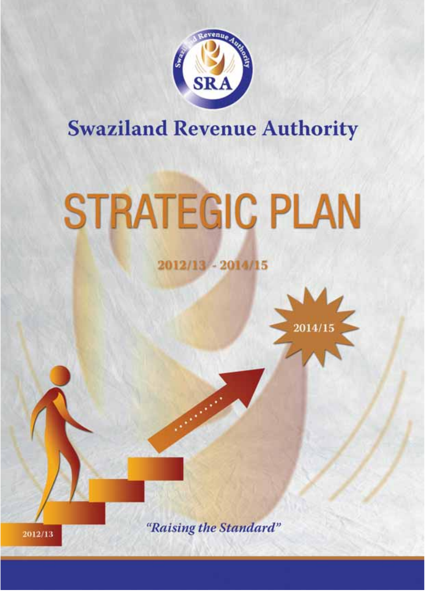

## **Swaziland Revenue Authority**

# **STRATEGIC PLAN**

## 2012/13 - 2014/15



"Raising the Standard"

2012/13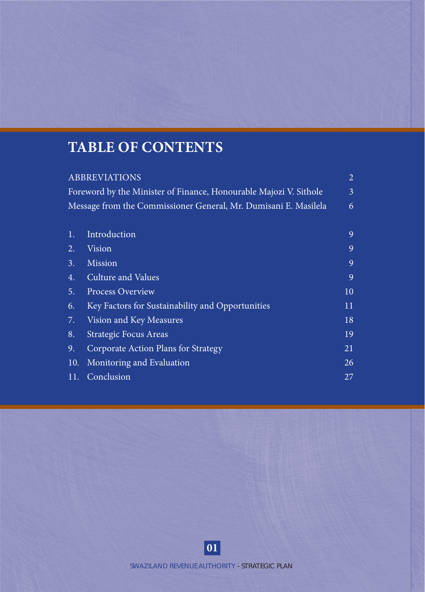## **TABLE OF CONTENTS**

|     |                                                  | $\overline{2}$                                                                                                                                               |
|-----|--------------------------------------------------|--------------------------------------------------------------------------------------------------------------------------------------------------------------|
|     |                                                  | 3                                                                                                                                                            |
|     |                                                  | 6                                                                                                                                                            |
|     |                                                  |                                                                                                                                                              |
| 1.  | Introduction                                     | 9                                                                                                                                                            |
| 2.  | Vision                                           | 9                                                                                                                                                            |
| 3.  | Mission                                          | 9                                                                                                                                                            |
| 4.  | Culture and Values                               | 9                                                                                                                                                            |
| 5.  | <b>Process Overview</b>                          | 10                                                                                                                                                           |
| 6.  | Key Factors for Sustainability and Opportunities | 11                                                                                                                                                           |
| 7.  | Vision and Key Measures                          | 18                                                                                                                                                           |
| 8.  | <b>Strategic Focus Areas</b>                     | 19                                                                                                                                                           |
| 9.  | Corporate Action Plans for Strategy              | 21                                                                                                                                                           |
| 10. | Monitoring and Evaluation                        | 26                                                                                                                                                           |
| 11. | Conclusion                                       | 27                                                                                                                                                           |
|     |                                                  | <b>ABBREVIATIONS</b><br>Foreword by the Minister of Finance, Honourable Majozi V. Sithole<br>Message from the Commissioner General, Mr. Dumisani E. Masilela |

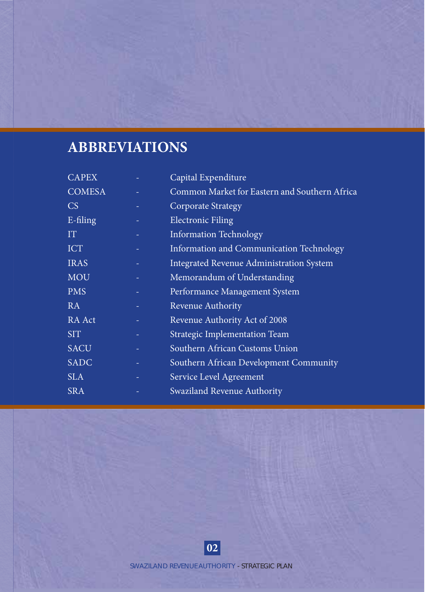## **ABBREVIATIONS**

| <b>CAPEX</b>  | Capital Expenditure                             |
|---------------|-------------------------------------------------|
| <b>COMESA</b> | Common Market for Eastern and Southern Africa   |
| <b>CS</b>     | <b>Corporate Strategy</b>                       |
| E-filing      | <b>Electronic Filing</b>                        |
| IT            | <b>Information Technology</b>                   |
| <b>ICT</b>    | Information and Communication Technology        |
| <b>IRAS</b>   | <b>Integrated Revenue Administration System</b> |
| <b>MOU</b>    | Memorandum of Understanding                     |
| <b>PMS</b>    | Performance Management System                   |
| RA            | Revenue Authority                               |
| RA Act        | Revenue Authority Act of 2008                   |
| <b>SIT</b>    | Strategic Implementation Team                   |
| <b>SACU</b>   | Southern African Customs Union                  |
| <b>SADC</b>   | Southern African Development Community          |
| <b>SLA</b>    | Service Level Agreement                         |
| <b>SRA</b>    | Swaziland Revenue Authority                     |

**02**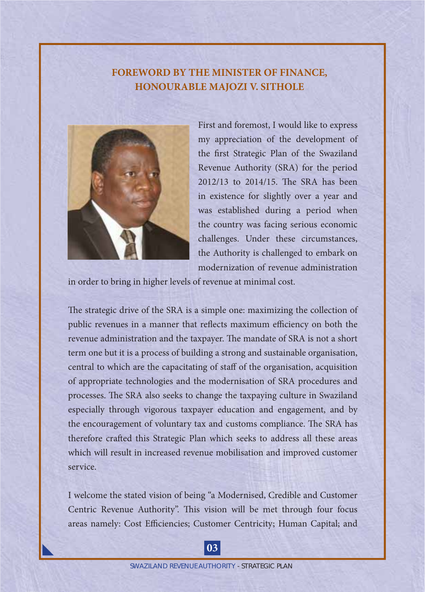#### **FOREWORD BY THE MINISTER OF FINANCE, HONOURABLE MAJOZI V. SITHOLE**



First and foremost, I would like to express my appreciation of the development of the first Strategic Plan of the Swaziland Revenue Authority (SRA) for the period 2012/13 to 2014/15. The SRA has been in existence for slightly over a year and was established during a period when the country was facing serious economic challenges. Under these circumstances, the Authority is challenged to embark on modernization of revenue administration

in order to bring in higher levels of revenue at minimal cost.

The strategic drive of the SRA is a simple one: maximizing the collection of public revenues in a manner that reflects maximum efficiency on both the revenue administration and the taxpayer. The mandate of SRA is not a short term one but it is a process of building a strong and sustainable organisation, central to which are the capacitating of staff of the organisation, acquisition of appropriate technologies and the modernisation of SRA procedures and processes. The SRA also seeks to change the taxpaying culture in Swaziland especially through vigorous taxpayer education and engagement, and by the encouragement of voluntary tax and customs compliance. The SRA has therefore crafted this Strategic Plan which seeks to address all these areas which will result in increased revenue mobilisation and improved customer service.

I welcome the stated vision of being "a Modernised, Credible and Customer Centric Revenue Authority". This vision will be met through four focus areas namely: Cost Efficiencies; Customer Centricity; Human Capital; and

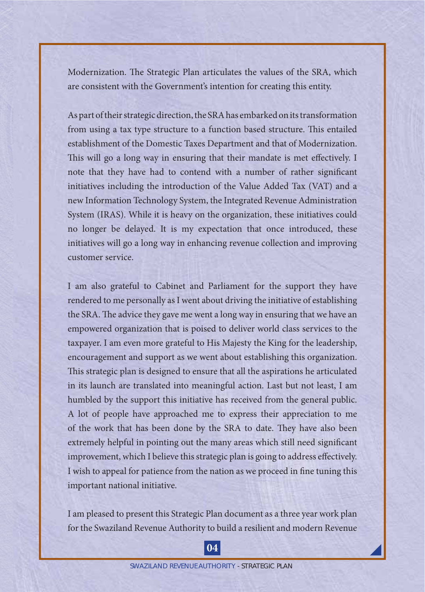Modernization. The Strategic Plan articulates the values of the SRA, which are consistent with the Government's intention for creating this entity.

As part of their strategic direction, the SRA has embarked on its transformation from using a tax type structure to a function based structure. This entailed establishment of the Domestic Taxes Department and that of Modernization. This will go a long way in ensuring that their mandate is met effectively. I note that they have had to contend with a number of rather significant initiatives including the introduction of the Value Added Tax (VAT) and a new Information Technology System, the Integrated Revenue Administration System (IRAS). While it is heavy on the organization, these initiatives could no longer be delayed. It is my expectation that once introduced, these initiatives will go a long way in enhancing revenue collection and improving customer service.

I am also grateful to Cabinet and Parliament for the support they have rendered to me personally as I went about driving the initiative of establishing the SRA. The advice they gave me went a long way in ensuring that we have an empowered organization that is poised to deliver world class services to the taxpayer. I am even more grateful to His Majesty the King for the leadership, encouragement and support as we went about establishing this organization. This strategic plan is designed to ensure that all the aspirations he articulated in its launch are translated into meaningful action. Last but not least, I am humbled by the support this initiative has received from the general public. A lot of people have approached me to express their appreciation to me of the work that has been done by the SRA to date. They have also been extremely helpful in pointing out the many areas which still need significant improvement, which I believe this strategic plan is going to address effectively. I wish to appeal for patience from the nation as we proceed in fine tuning this important national initiative.

I am pleased to present this Strategic Plan document as a three year work plan for the Swaziland Revenue Authority to build a resilient and modern Revenue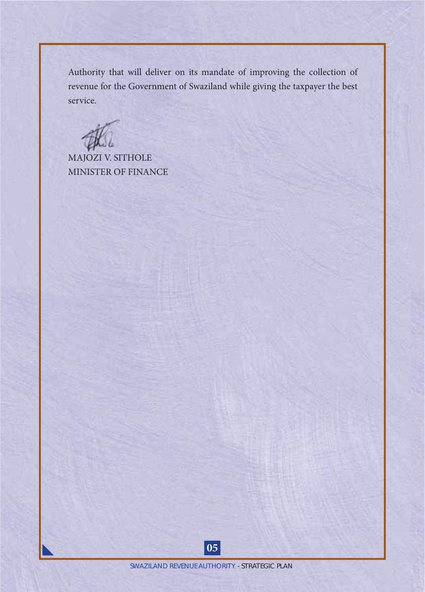Authority that will deliver on its mandate of improving the collection of revenue for the Government of Swaziland while giving the taxpayer the best service.

MAJOZI V. SITHOLE MINISTER OF FINANCE

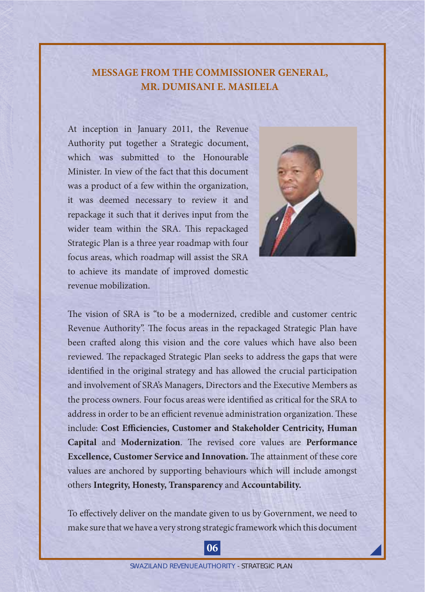### **MESSAGE FROM THE COMMISSIONER GENERAL, MR. DUMISANI E. MASILELA**

At inception in January 2011, the Revenue Authority put together a Strategic document, which was submitted to the Honourable Minister. In view of the fact that this document was a product of a few within the organization, it was deemed necessary to review it and repackage it such that it derives input from the wider team within the SRA. This repackaged Strategic Plan is a three year roadmap with four focus areas, which roadmap will assist the SRA to achieve its mandate of improved domestic revenue mobilization.



The vision of SRA is "to be a modernized, credible and customer centric Revenue Authority". The focus areas in the repackaged Strategic Plan have been crafted along this vision and the core values which have also been reviewed. The repackaged Strategic Plan seeks to address the gaps that were identified in the original strategy and has allowed the crucial participation and involvement of SRA's Managers, Directors and the Executive Members as the process owners. Four focus areas were identified as critical for the SRA to address in order to be an efficient revenue administration organization. These include: Cost Efficiencies, Customer and Stakeholder Centricity, Human **Capital and Modernization**. The revised core values are Performance **Excellence, Customer Service and Innovation.** The attainment of these core values are anchored by supporting behaviours which will include amongst others **Integrity, Honesty, Transparency** and **Accountability.**

To effectively deliver on the mandate given to us by Government, we need to make sure that we have a very strong strategic framework which this document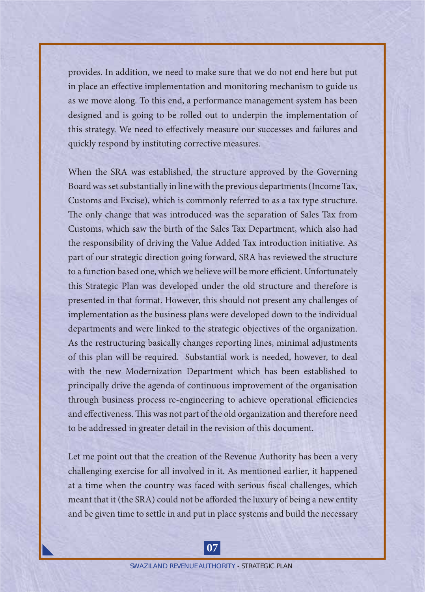provides. In addition, we need to make sure that we do not end here but put in place an effective implementation and monitoring mechanism to guide us as we move along. To this end, a performance management system has been designed and is going to be rolled out to underpin the implementation of this strategy. We need to effectively measure our successes and failures and quickly respond by instituting corrective measures.

When the SRA was established, the structure approved by the Governing Board was set substantially in line with the previous departments (Income Tax, Customs and Excise), which is commonly referred to as a tax type structure. The only change that was introduced was the separation of Sales Tax from Customs, which saw the birth of the Sales Tax Department, which also had the responsibility of driving the Value Added Tax introduction initiative. As part of our strategic direction going forward, SRA has reviewed the structure to a function based one, which we believe will be more efficient. Unfortunately this Strategic Plan was developed under the old structure and therefore is presented in that format. However, this should not present any challenges of implementation as the business plans were developed down to the individual departments and were linked to the strategic objectives of the organization. As the restructuring basically changes reporting lines, minimal adjustments of this plan will be required. Substantial work is needed, however, to deal with the new Modernization Department which has been established to principally drive the agenda of continuous improvement of the organisation through business process re-engineering to achieve operational efficiencies and effectiveness. This was not part of the old organization and therefore need to be addressed in greater detail in the revision of this document.

Let me point out that the creation of the Revenue Authority has been a very challenging exercise for all involved in it. As mentioned earlier, it happened at a time when the country was faced with serious fiscal challenges, which meant that it (the SRA) could not be afforded the luxury of being a new entity and be given time to settle in and put in place systems and build the necessary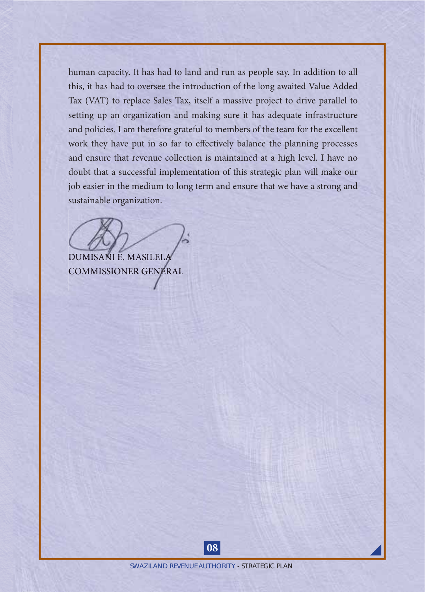human capacity. It has had to land and run as people say. In addition to all this, it has had to oversee the introduction of the long awaited Value Added Tax (VAT) to replace Sales Tax, itself a massive project to drive parallel to setting up an organization and making sure it has adequate infrastructure and policies. I am therefore grateful to members of the team for the excellent work they have put in so far to effectively balance the planning processes and ensure that revenue collection is maintained at a high level. I have no doubt that a successful implementation of this strategic plan will make our job easier in the medium to long term and ensure that we have a strong and sustainable organization.

DUMISANI E. MASILELA DUMISANI E.

COMMISSIONER GENERAL COMMISSIONER

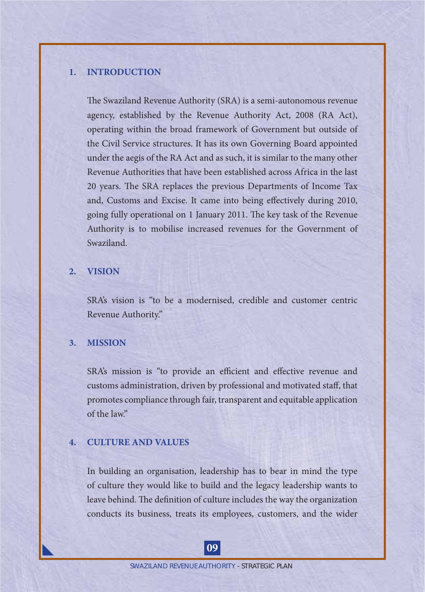#### **1. INTRODUCTION**

The Swaziland Revenue Authority (SRA) is a semi-autonomous revenue agency, established by the Revenue Authority Act, 2008 (RA Act), operating within the broad framework of Government but outside of the Civil Service structures. It has its own Governing Board appointed under the aegis of the RA Act and as such, it is similar to the many other Revenue Authorities that have been established across Africa in the last 20 years. The SRA replaces the previous Departments of Income Tax and, Customs and Excise. It came into being effectively during 2010, going fully operational on 1 January 2011. The key task of the Revenue Authority is to mobilise increased revenues for the Government of Swaziland.

#### **2. VISION**

SRA's vision is "to be a modernised, credible and customer centric Revenue Authority."

#### **3. MISSION**

SRA's mission is "to provide an efficient and effective revenue and customs administration, driven by professional and motivated staff, that promotes compliance through fair, transparent and equitable application of the law."

#### **4. CULTURE AND VALUES**

In building an organisation, leadership has to bear in mind the type of culture they would like to build and the legacy leadership wants to leave behind. The definition of culture includes the way the organization conducts its business, treats its employees, customers, and the wider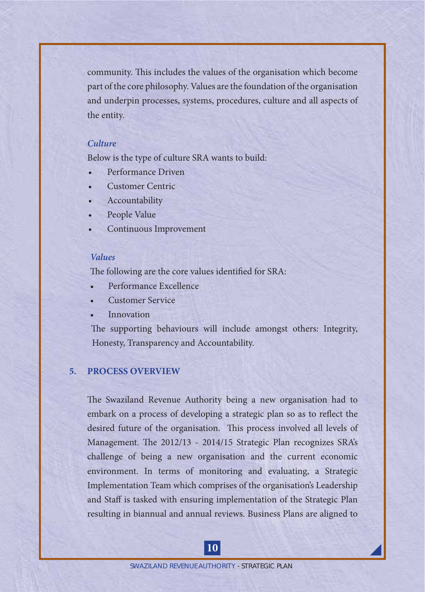community. This includes the values of the organisation which become part of the core philosophy. Values are the foundation of the organisation and underpin processes, systems, procedures, culture and all aspects of the entity.

#### *Culture*

Below is the type of culture SRA wants to build:

- Performance Driven
- Customer Centric
- **Accountability**
- People Value
- Continuous Improvement

#### *Values*

The following are the core values identified for SRA:

- Performance Excellence
- Customer Service
- **Innovation**

The supporting behaviours will include amongst others: Integrity, Honesty, Transparency and Accountability.

#### **5. PROCESS OVERVIEW**

The Swaziland Revenue Authority being a new organisation had to embark on a process of developing a strategic plan so as to reflect the desired future of the organisation. This process involved all levels of Management. The 2012/13 - 2014/15 Strategic Plan recognizes SRA's challenge of being a new organisation and the current economic environment. In terms of monitoring and evaluating, a Strategic Implementation Team which comprises of the organisation's Leadership and Staff is tasked with ensuring implementation of the Strategic Plan resulting in biannual and annual reviews. Business Plans are aligned to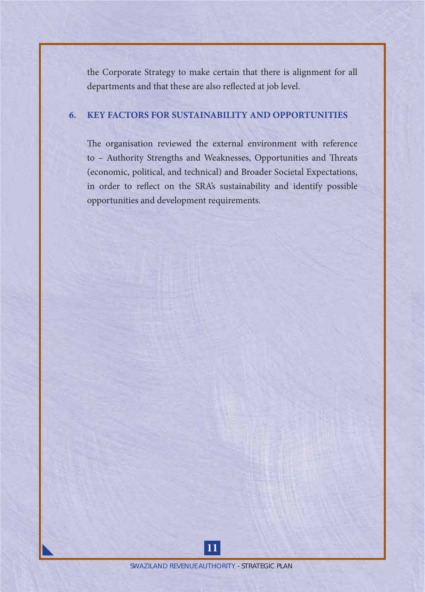the Corporate Strategy to make certain that there is alignment for all departments and that these are also reflected at job level.

#### **6. KEY FACTORS FOR SUSTAINABILITY AND OPPORTUNITIES**

The organisation reviewed the external environment with reference to - Authority Strengths and Weaknesses, Opportunities and Threats (economic, political, and technical) and Broader Societal Expectations, in order to reflect on the SRA's sustainability and identify possible opportunities and development requirements.

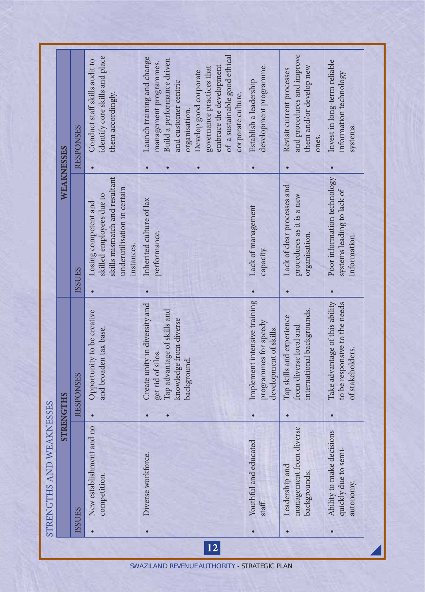|    | STRENGTHS AND WEAKNESSES                                       |                                                                                                                            |                                                                                                                                |                                                                                                                                                                                                                                                                      |  |
|----|----------------------------------------------------------------|----------------------------------------------------------------------------------------------------------------------------|--------------------------------------------------------------------------------------------------------------------------------|----------------------------------------------------------------------------------------------------------------------------------------------------------------------------------------------------------------------------------------------------------------------|--|
|    |                                                                | <b>STRENGTHS</b>                                                                                                           | WEAKNESSES                                                                                                                     |                                                                                                                                                                                                                                                                      |  |
|    | <b>ISSUES</b>                                                  | <b>RESPONSES</b>                                                                                                           | <b>ISSUES</b>                                                                                                                  | <b>RESPONSES</b>                                                                                                                                                                                                                                                     |  |
|    | nment and no<br>New establish<br>competition.                  | Opportunity to be creative<br>and broaden tax base.                                                                        | skills mismatch and resultant<br>underutilisation in certain<br>skilled employees due to<br>Losing competent and<br>instances. | identify core skills and place<br>Conduct staff skills audit to<br>them accordingly.                                                                                                                                                                                 |  |
| 12 | Diverse workforce.                                             | Create unity in diversity and<br>Tap advantage of skills and<br>knowledge from diverse<br>get rid of silos.<br>background. | Inherited culture of lax<br>performance.                                                                                       | of a sustainable good ethical<br>Launch training and change<br>Build a performance driven<br>management programmes.<br>embrace the development<br>governance practices that<br>Develop good corporate<br>and customer centric<br>corporate culture.<br>organisation. |  |
|    | educated<br>Youthful and<br>staff.                             | Implement intensive training<br>programmes for speedy<br>development of skills.                                            | Lack of management<br>capacity.                                                                                                | development programme.<br>Establish a leadership                                                                                                                                                                                                                     |  |
|    | management from diverse<br>Leadership and<br>backgrounds.      | international backgrounds.<br>Tap skills and experience<br>from diverse local and                                          | Lack of clear processes and<br>procedures as it is a new<br>organisation.                                                      | and procedures and improve<br>them and/or develop new<br>Revisit current processes<br>ones.                                                                                                                                                                          |  |
|    | Ability to make decisions<br>quickly due to semi-<br>autonomy. | Take advantage of this ability<br>to be responsive to the needs<br>of stakeholders.                                        | Poor information technology<br>systems leading to lack of<br>information.                                                      | Invest in long-term reliable<br>information technology<br>systems.                                                                                                                                                                                                   |  |
|    |                                                                |                                                                                                                            |                                                                                                                                |                                                                                                                                                                                                                                                                      |  |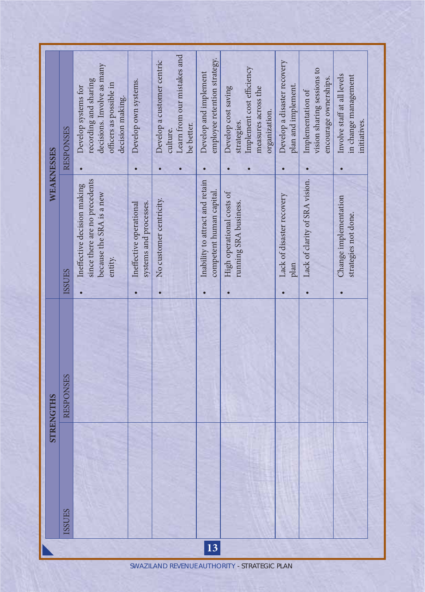| WEAKNESSES       | <b>RESPONSES</b> | decisions. Involve as many<br>recording and sharing<br>officers as possible in<br>Develop systems for<br>decision making. | Develop own systems.                              | Learn from our mistakes and<br>Develop a customer centric<br>be better.<br>culture. | employee retention strategy.<br>Develop and implement       | Implement cost efficiency<br>Develop cost saving<br>measures across the<br>organization.<br>strategies. | Develop a disaster recovery<br>plan and implement. | vision sharing sessions to<br>encourage ownerships.<br>Implementation of | Involve staff at all levels<br>in change management<br>initiatives. |
|------------------|------------------|---------------------------------------------------------------------------------------------------------------------------|---------------------------------------------------|-------------------------------------------------------------------------------------|-------------------------------------------------------------|---------------------------------------------------------------------------------------------------------|----------------------------------------------------|--------------------------------------------------------------------------|---------------------------------------------------------------------|
|                  | <b>ISSUES</b>    | since there are no precedents<br>Ineffective decision making<br>because the SRA is a new<br>entity.                       | systems and processes.<br>Ineffective operational | No customer centricity.                                                             | Inability to attract and retain<br>competent human capital. | High operational costs of<br>running SRA business.                                                      | Lack of disaster recovery<br>plan                  | Lack of clarity of SRA vision.                                           | Change implementation<br>strategies not done.                       |
| <b>STRENGTHS</b> | <b>RESPONSES</b> |                                                                                                                           |                                                   |                                                                                     |                                                             |                                                                                                         |                                                    |                                                                          |                                                                     |
|                  | <b>ISSUES</b>    |                                                                                                                           |                                                   |                                                                                     | 13                                                          |                                                                                                         |                                                    |                                                                          |                                                                     |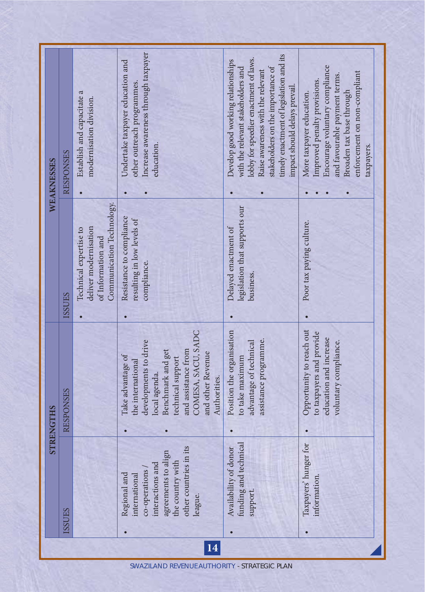| WEAKNESSES       | <b>RESPONSES</b> | Establish and capacitate a<br>modernisation division.                                              | Increase awareness through taxpayer<br>Undertake taxpayer education and<br>other outreach programmes.<br>education.                                                                                          | timely enactment of legislation and its<br>lobby for speedier enactment of laws.<br>Develop good working relationships<br>stakeholders on the importance of<br>with the relevant stakeholders and<br>Raise awareness with the relevant<br>impact should delays prevail. | Encourage voluntary compliance<br>enforcement on non-compliant<br>and favourable payment terms.<br>Improved penalty provisions.<br>Broaden tax base through<br>More taxpayer education.<br>taxpayers. |
|------------------|------------------|----------------------------------------------------------------------------------------------------|--------------------------------------------------------------------------------------------------------------------------------------------------------------------------------------------------------------|-------------------------------------------------------------------------------------------------------------------------------------------------------------------------------------------------------------------------------------------------------------------------|-------------------------------------------------------------------------------------------------------------------------------------------------------------------------------------------------------|
|                  | <b>ISSUES</b>    | Communication Technology.<br>deliver modernisation<br>Technical expertise to<br>of Information and | Resistance to compliance<br>resulting in low levels of<br>compliance.                                                                                                                                        | legislation that supports our<br>Delayed enactment of<br>business.                                                                                                                                                                                                      | Poor tax paying culture.                                                                                                                                                                              |
| <b>STRENGTHS</b> | RESPONSES        |                                                                                                    | COMESA, SACU, SADC<br>developments to drive<br>Benchmark and get<br>and assistance from<br>and other Revenue<br>Take advantage of<br>technical support<br>the international<br>local agenda.<br>Authorities. | Position the organisation<br>assistance programme.<br>advantage of technical<br>to take maximum                                                                                                                                                                         | Opportunity to reach out<br>to taxpayers and provide<br>education and increase<br>voluntary compliance.                                                                                               |
|                  | <b>ISSUES</b>    |                                                                                                    | ies in its<br>to align<br>with<br>interactions and<br>co-operations<br>Regional and<br>international<br>other countr<br>agreements t<br>the country<br>league.<br>14                                         | technical<br>Availability of donor<br>funding and<br>support                                                                                                                                                                                                            | Taxpayers' hunger for<br>information.                                                                                                                                                                 |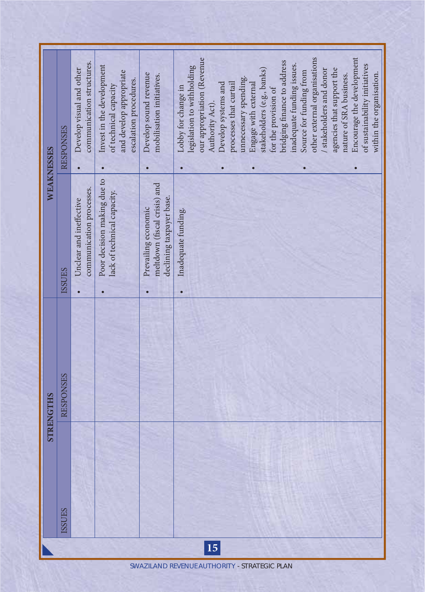|                  | <b>RESPONSES</b> | communication structures.<br>Develop visual and other | Invest in the development<br>and develop appropriate<br>escalation procedures.<br>of technical capacity | Develop sound revenue<br>mobilisation initiatives.                              | our appropriation (Revenue<br>Encourage the development<br>other external organisations<br>bridging finance to address<br>inadequate funding issues.<br>of sustainability initiatives<br>legislation to withholding<br>agencies that support the<br>stakeholders (e.g., banks)<br>/ stakeholders and donor<br>Source for funding from<br>nature of SRA business.<br>within the organisation.<br>unnecessary spending.<br>Develop systems and<br>processes that curtail<br>Engage with external<br>Lobby for change in<br>for the provision of<br>Authority Act). |
|------------------|------------------|-------------------------------------------------------|---------------------------------------------------------------------------------------------------------|---------------------------------------------------------------------------------|------------------------------------------------------------------------------------------------------------------------------------------------------------------------------------------------------------------------------------------------------------------------------------------------------------------------------------------------------------------------------------------------------------------------------------------------------------------------------------------------------------------------------------------------------------------|
| WEAKNESSES       | <b>ISSUES</b>    | communication processes.<br>Unclear and ineffective   | Poor decision making due to<br>lack of technical capacity.                                              | meltdown (fiscal crisis) and<br>declining taxpayer base.<br>Prevailing economic | Inadequate funding.                                                                                                                                                                                                                                                                                                                                                                                                                                                                                                                                              |
| <b>STRENGTHS</b> | <b>RESPONSES</b> |                                                       |                                                                                                         |                                                                                 |                                                                                                                                                                                                                                                                                                                                                                                                                                                                                                                                                                  |
|                  | <b>SSUES</b>     |                                                       |                                                                                                         |                                                                                 |                                                                                                                                                                                                                                                                                                                                                                                                                                                                                                                                                                  |
|                  |                  |                                                       |                                                                                                         |                                                                                 | 15                                                                                                                                                                                                                                                                                                                                                                                                                                                                                                                                                               |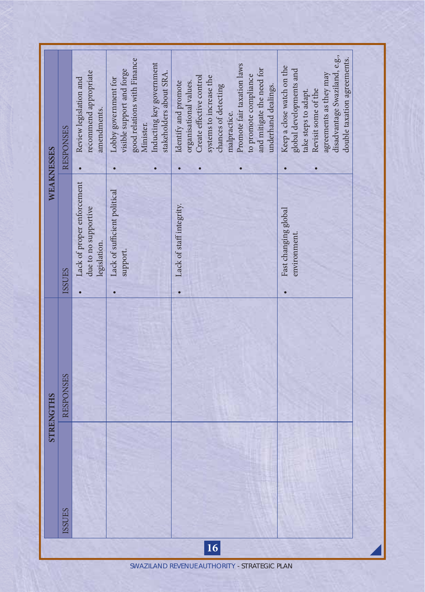| recommend appropriate<br>Review legislation and<br>amendments.<br><b>RESPONSES</b><br>WEAKNESSES | good relations with Finance<br>Inducting key government<br>visible support and forge<br>stakeholders about SRA.<br>Lobby government for<br>Minister. | Promote fair taxation laws<br>and mitigate the need for<br>to promote compliance<br>Create effective control<br>systems to increase the<br>organisational values.<br>Identify and promote<br>chances of detecting<br>underhand dealings.<br>malpractice. | disadvantage Swaziland, e.g.,<br>double taxation agreements.<br>Keep a close watch on the<br>global developments and<br>agreements as they may<br>Revisit some of the<br>take steps to adapt. |
|--------------------------------------------------------------------------------------------------|------------------------------------------------------------------------------------------------------------------------------------------------------|----------------------------------------------------------------------------------------------------------------------------------------------------------------------------------------------------------------------------------------------------------|-----------------------------------------------------------------------------------------------------------------------------------------------------------------------------------------------|
| Lack of proper enforcement<br>due to no supportive<br>legislation.<br><b>ISSUES</b>              | Lack of sufficient political<br>support.                                                                                                             | Lack of staff integrity.                                                                                                                                                                                                                                 | Fast changing global<br>environment.                                                                                                                                                          |
| <b>RESPONSES</b><br><b>STRENGTHS</b>                                                             |                                                                                                                                                      |                                                                                                                                                                                                                                                          |                                                                                                                                                                                               |
| <b>ISSUES</b>                                                                                    |                                                                                                                                                      |                                                                                                                                                                                                                                                          |                                                                                                                                                                                               |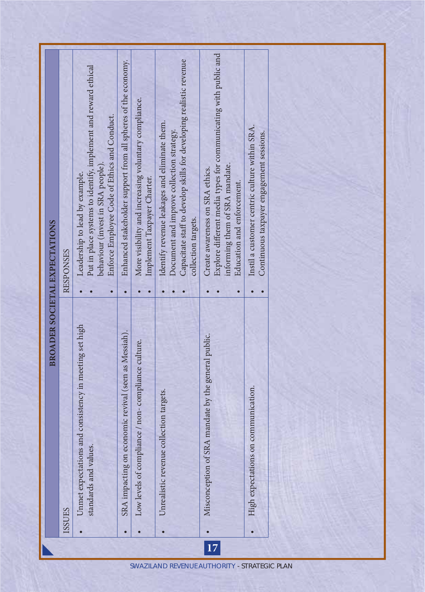|    |                                                                                 | <b>BROADER SOCIETAL EXPECTATIONS</b>                                                                                                                                                     |
|----|---------------------------------------------------------------------------------|------------------------------------------------------------------------------------------------------------------------------------------------------------------------------------------|
|    | <b>ISSUES</b>                                                                   | <b>RESPONSES</b>                                                                                                                                                                         |
|    | Unmet expectations and consistency in meeting set high<br>standards and values. | Put in place systems to identify, implement and reward ethical<br>Enforce Employee Code of Ethics and Conduct.<br>behaviour (invest in SRA people)<br>Leadership to lead by example.     |
|    | SRA impacting on economic revival (seen as Messiah).                            | Enhanced stakeholder support from all spheres of the economy.                                                                                                                            |
|    | compliance / non-compliance culture.<br>Low levels of                           | More visibility and increasing voluntary compliance.<br>Implement Taxpayer Charter.                                                                                                      |
|    | Unrealistic revenue collection targets.                                         | Capacitate staff to develop skills for developing realistic revenue<br>Identify revenue leakages and eliminate them.<br>Document and improve collection strategy.<br>collection targets. |
| 17 | Misconception of SRA mandate by the general public.                             | Explore different media types for communicating with public and<br>informing them of SRA mandate.<br>Create awareness on SRA ethics.<br>Education and enforcement.                       |
|    | High expectations on communication.<br>$\bullet$                                | Instil a customer centric culture within SRA.<br>Continuous taxpayer engagement sessions.                                                                                                |
|    |                                                                                 |                                                                                                                                                                                          |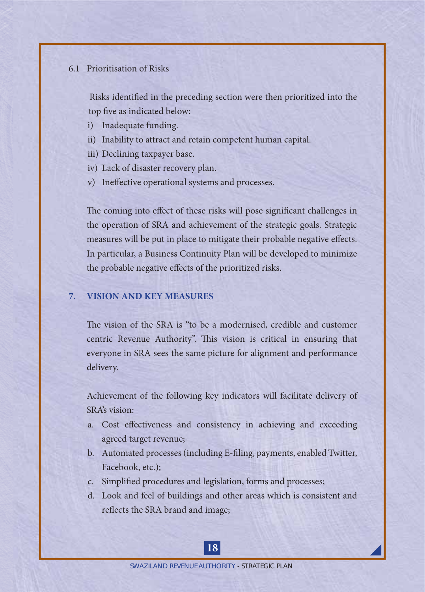#### 6.1 Prioritisation of Risks

Risks identified in the preceding section were then prioritized into the top five as indicated below:

- i) Inadequate funding.
- ii) Inability to attract and retain competent human capital.
- iii) Declining taxpayer base.
- iv) Lack of disaster recovery plan.
- v) Ineffective operational systems and processes.

The coming into effect of these risks will pose significant challenges in the operation of SRA and achievement of the strategic goals. Strategic measures will be put in place to mitigate their probable negative effects. In particular, a Business Continuity Plan will be developed to minimize the probable negative effects of the prioritized risks.

#### **7. VISION AND KEY MEASURES**

The vision of the SRA is "to be a modernised, credible and customer centric Revenue Authority". This vision is critical in ensuring that everyone in SRA sees the same picture for alignment and performance delivery.

 Achievement of the following key indicators will facilitate delivery of SRA's vision:

- a. Cost effectiveness and consistency in achieving and exceeding agreed target revenue;
- b. Automated processes (including E-filing, payments, enabled Twitter, Facebook, etc.);
- c. Simplified procedures and legislation, forms and processes;
- d. Look and feel of buildings and other areas which is consistent and reflects the SRA brand and image;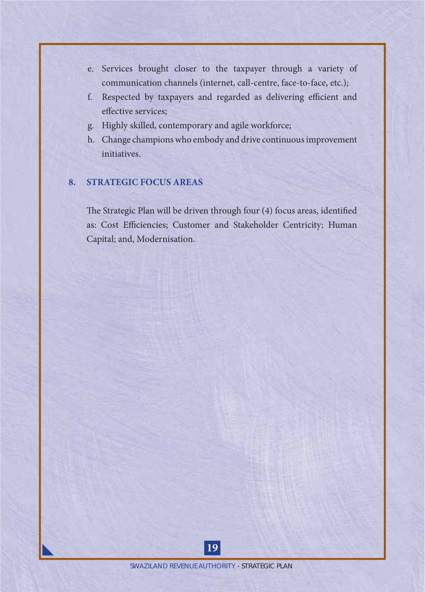- e. Services brought closer to the taxpayer through a variety of communication channels (internet, call-centre, face-to-face, etc.);
- f. Respected by taxpayers and regarded as delivering efficient and effective services:
- g. Highly skilled, contemporary and agile workforce;
- h. Change champions who embody and drive continuous improvement initiatives.

#### **8. STRATEGIC FOCUS AREAS**

The Strategic Plan will be driven through four (4) focus areas, identified as: Cost Efficiencies; Customer and Stakeholder Centricity; Human Capital; and, Modernisation.

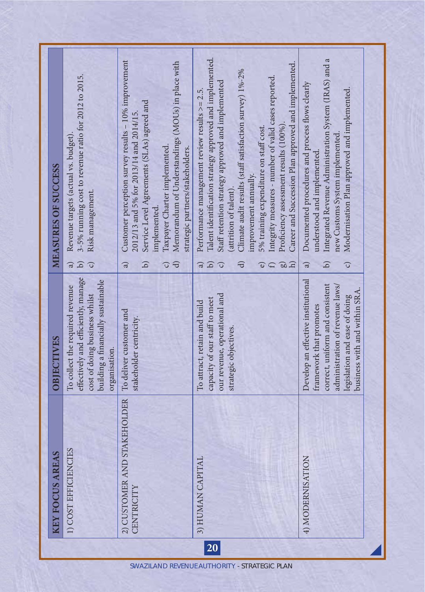|           | <b>REAS</b><br>KEY FOCUS A                    | OBIECTIVES                                                                                                                                                                                            | <b>MEASURES OF SUCCESS</b>                                                                                                                                                                                                                                                                                                                                                                                                                                                                                                                                                 |  |
|-----------|-----------------------------------------------|-------------------------------------------------------------------------------------------------------------------------------------------------------------------------------------------------------|----------------------------------------------------------------------------------------------------------------------------------------------------------------------------------------------------------------------------------------------------------------------------------------------------------------------------------------------------------------------------------------------------------------------------------------------------------------------------------------------------------------------------------------------------------------------------|--|
|           | 1) COST EFFICIENCIES                          | effectively and efficiently, manage<br>building a financially sustainable<br>To collect the required revenue<br>cost of doing business whilst<br>organisation.                                        | 3-5% running cost to revenue ratio for 2012 to 2015.<br>Revenue targets (actual vs. budget).<br>Risk management.<br>$\begin{array}{c} \square \end{array}$<br>$\widehat{a}$<br>ි                                                                                                                                                                                                                                                                                                                                                                                           |  |
|           | ND STAKEHOLDER<br>2) CUSTOMER A<br>CENTRICITY | To deliver customer and<br>stakeholder centricity.                                                                                                                                                    | Customer perception survey results - 10% improvement<br>Memorandum of Understandings (MOUs) in place with<br>Service Level Agreements (SLAs) agreed and<br>2012/13 and 5% for 2013/14 and 2014/15.<br>Taxpayer Charter implemented.<br>strategic partners/stakeholders.<br>implemented.<br>$\bigoplus$<br>$\mathbf{d}$<br>$\widehat{a}$<br>ි                                                                                                                                                                                                                               |  |
| <b>20</b> | 3) HUMAN CAPITAL                              | our revenue, operational and<br>capacity of our staff to meet<br>To attract, retain and build<br>strategic objectives.                                                                                | Talent identification strategy approved and implemented.<br>Career and Succession Plan approved and implemented.<br>Climate audit results (staff satisfaction survey) 1%-2%<br>Integrity measures - number of valid cases reported.<br>Staff retention strategy approved and implemented<br>Performance management review results $>= 2.5$ .<br>Proficiency assessment results (100%)<br>5% training expenditure on staff cost.<br>improvement annually.<br>(attrition of talent)<br>$\Omega$<br>$\Theta$<br>ਚਿ<br>ನ<br>ි<br>ದ<br>$\widehat{f}$<br>$\overline{\mathbf{e}}$ |  |
|           | <b>NOL</b><br>4) MODERNISAT                   | Develop an effective institutional<br>correct, uniform and consistent<br>administration of revenue laws/<br>business with and within SRA.<br>legislation and ease of doing<br>framework that promotes | Integrated Revenue Administration System (IRAS) and a<br>Documented procedures and process flows clearly<br>Modernisation Plan approved and implemented.<br>new Customs System implemented<br>understood and implemented.<br>G)<br>G<br>ನ                                                                                                                                                                                                                                                                                                                                  |  |
|           |                                               |                                                                                                                                                                                                       |                                                                                                                                                                                                                                                                                                                                                                                                                                                                                                                                                                            |  |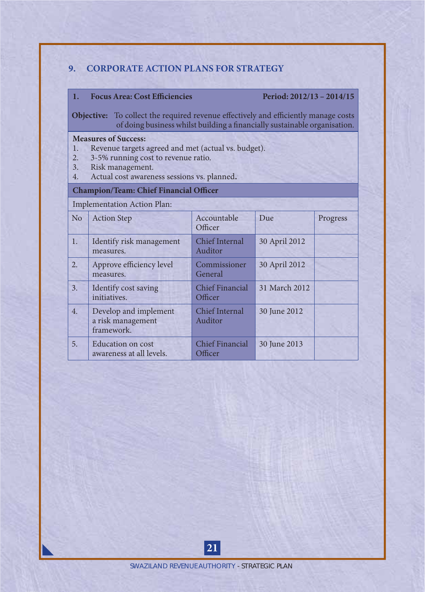#### **9. CORPORATE ACTION PLANS FOR STRATEGY**

#### 1. Focus Area: Cost Efficiencies Period: 2012/13 – 2014/15

**Objective:** To collect the required revenue effectively and efficiently manage costs of doing business whilst building a financially sustainable organisation.

## **Measures of Success:**<br>1. Revenue targets :

- 1. Revenue targets agreed and met (actual vs. budget).<br>2. 3-5% running cost to revenue ratio.
- 2. 3-5% running cost to revenue ratio.
- 3. Risk management.<br>4. Actual cost awaren
- Actual cost awareness sessions vs. planned.

#### **Champion/Team: Chief Financial Officer**

Implementation Action Plan:

| N <sub>o</sub> | <b>Action Step</b>                                       | Accountable<br>Officer            | Due           | Progress |
|----------------|----------------------------------------------------------|-----------------------------------|---------------|----------|
| 1.             | Identify risk management<br>measures.                    | <b>Chief Internal</b><br>Auditor  | 30 April 2012 |          |
| 2.             | Approve efficiency level<br>measures.                    | Commissioner<br>General           | 30 April 2012 |          |
| 3.             | Identify cost saving<br>initiatives.                     | Chief Financial<br>Officer        | 31 March 2012 |          |
| 4.             | Develop and implement<br>a risk management<br>framework. | <b>Chief Internal</b><br>Auditor  | 30 June 2012  |          |
| 5.             | <b>Education</b> on cost<br>awareness at all levels.     | <b>Chief Financial</b><br>Officer | 30 June 2013  |          |

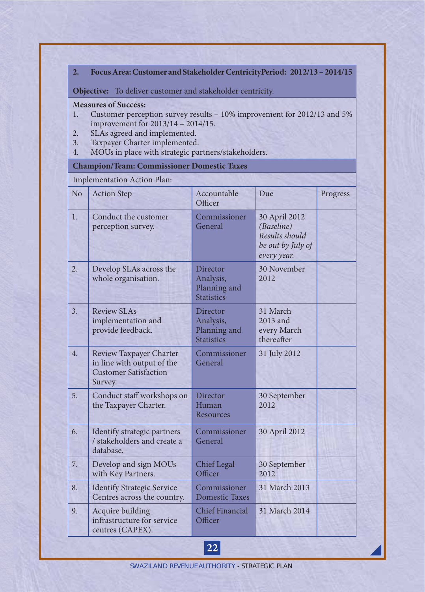#### **2. Focus Area: Customer and Stakeholder CentricityPeriod: 2012/13 – 2014/15**

**Objective:** To deliver customer and stakeholder centricity.

#### **Measures of Success:**

- 1. Customer perception survey results 10% improvement for 2012/13 and 5% improvement for 2013/14 – 2014/15.
- 2. SLAs agreed and implemented.
- 3. Taxpayer Charter implemented.<br>4. MOUs in place with strategic parallel
- MOUs in place with strategic partners/stakeholders.

#### **Champion/Team: Commissioner Domestic Taxes**

#### Implementation Action Plan:

| No               | <b>Action Step</b>                                                                               | Accountable<br>Officer                                     | Due                                                                               | Progress |
|------------------|--------------------------------------------------------------------------------------------------|------------------------------------------------------------|-----------------------------------------------------------------------------------|----------|
| $\overline{1}$ . | Conduct the customer<br>perception survey.                                                       | Commissioner<br>General                                    | 30 April 2012<br>(Baseline)<br>Results should<br>be out by July of<br>every year. |          |
| 2.               | Develop SLAs across the<br>whole organisation.                                                   | Director<br>Analysis,<br>Planning and<br><b>Statistics</b> | 30 November<br>2012                                                               |          |
| 3.               | <b>Review SLAs</b><br>implementation and<br>provide feedback.                                    | Director<br>Analysis,<br>Planning and<br><b>Statistics</b> | 31 March<br>2013 and<br>every March<br>thereafter                                 |          |
| 4.               | Review Taxpayer Charter<br>in line with output of the<br><b>Customer Satisfaction</b><br>Survey. | Commissioner<br>General                                    | 31 July 2012                                                                      |          |
| 5.               | Conduct staff workshops on<br>the Taxpayer Charter.                                              | Director<br>Human<br>Resources                             | 30 September<br>2012                                                              |          |
| 6.               | Identify strategic partners<br>/ stakeholders and create a<br>database.                          | Commissioner<br>General                                    | 30 April 2012                                                                     |          |
| 7.               | Develop and sign MOUs<br>with Key Partners.                                                      | Chief Legal<br>Officer                                     | 30 September<br>2012                                                              |          |
| 8.               | <b>Identify Strategic Service</b><br>Centres across the country.                                 | Commissioner<br><b>Domestic Taxes</b>                      | 31 March 2013                                                                     |          |
| 9.               | Acquire building<br>infrastructure for service<br>centres (CAPEX).                               | Chief Financial<br>Officer                                 | 31 March 2014                                                                     |          |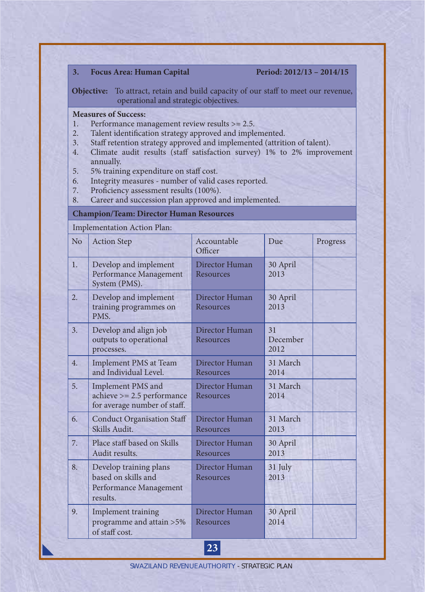| 3.                                           | <b>Focus Area: Human Capital</b>                                                                                                                                                                                                                                                                                                                                                                                                                                                                                   |                             | Period: 2012/13 - 2014/15 |          |
|----------------------------------------------|--------------------------------------------------------------------------------------------------------------------------------------------------------------------------------------------------------------------------------------------------------------------------------------------------------------------------------------------------------------------------------------------------------------------------------------------------------------------------------------------------------------------|-----------------------------|---------------------------|----------|
|                                              | <b>Objective:</b> To attract, retain and build capacity of our staff to meet our revenue,<br>operational and strategic objectives.                                                                                                                                                                                                                                                                                                                                                                                 |                             |                           |          |
| 1.<br>2.<br>3.<br>4.<br>5.<br>6.<br>7.<br>8. | <b>Measures of Success:</b><br>Performance management review results $>= 2.5$ .<br>Talent identification strategy approved and implemented.<br>Staff retention strategy approved and implemented (attrition of talent).<br>Climate audit results (staff satisfaction survey) 1% to 2% improvement<br>annually.<br>5% training expenditure on staff cost.<br>Integrity measures - number of valid cases reported.<br>Proficiency assessment results (100%).<br>Career and succession plan approved and implemented. |                             |                           |          |
|                                              | <b>Champion/Team: Director Human Resources</b>                                                                                                                                                                                                                                                                                                                                                                                                                                                                     |                             |                           |          |
|                                              | Implementation Action Plan:                                                                                                                                                                                                                                                                                                                                                                                                                                                                                        |                             |                           |          |
| N <sub>o</sub>                               | <b>Action Step</b>                                                                                                                                                                                                                                                                                                                                                                                                                                                                                                 | Accountable<br>Officer      | Due                       | Progress |
| 1.                                           | Develop and implement<br>Performance Management<br>System (PMS).                                                                                                                                                                                                                                                                                                                                                                                                                                                   | Director Human<br>Resources | 30 April<br>2013          |          |
| 2.                                           | Develop and implement<br>training programmes on<br>PMS.                                                                                                                                                                                                                                                                                                                                                                                                                                                            | Director Human<br>Resources | 30 April<br>2013          |          |
| 3.                                           | Develop and align job<br>outputs to operational<br>processes.                                                                                                                                                                                                                                                                                                                                                                                                                                                      | Director Human<br>Resources | 31<br>December<br>2012    |          |
| 4.                                           | Implement PMS at Team<br>and Individual Level.                                                                                                                                                                                                                                                                                                                                                                                                                                                                     | Director Human<br>Resources | 31 March<br>2014          |          |
| 5.                                           | Implement PMS and<br>$achieve >= 2.5 performance$<br>for average number of staff.                                                                                                                                                                                                                                                                                                                                                                                                                                  | Director Human<br>Resources | 31 March<br>2014          |          |
| 6.                                           | <b>Conduct Organisation Staff</b><br>Skills Audit.                                                                                                                                                                                                                                                                                                                                                                                                                                                                 | Director Human<br>Resources | 31 March<br>2013          |          |
| 7.                                           | Place staff based on Skills<br>Audit results.                                                                                                                                                                                                                                                                                                                                                                                                                                                                      | Director Human<br>Resources | 30 April<br>2013          |          |
| 8.                                           | Develop training plans<br>based on skills and<br>Performance Management<br>results.                                                                                                                                                                                                                                                                                                                                                                                                                                | Director Human<br>Resources | 31 July<br>2013           |          |
| 9.                                           | Implement training<br>programme and attain >5%<br>of staff cost.                                                                                                                                                                                                                                                                                                                                                                                                                                                   | Director Human<br>Resources | 30 April<br>2014          |          |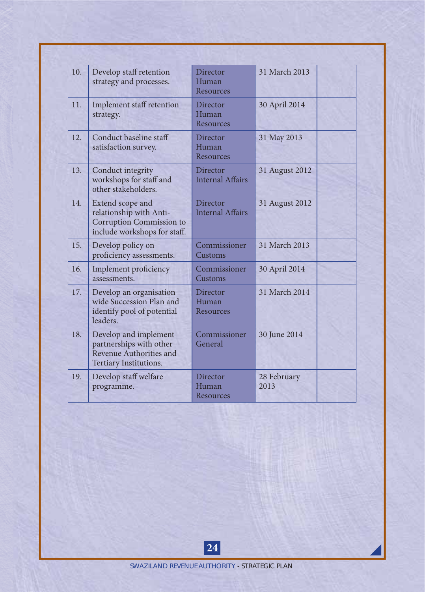| 10. | Develop staff retention<br>strategy and processes.                                                      | Director<br>Human<br><b>Resources</b> | 31 March 2013       |
|-----|---------------------------------------------------------------------------------------------------------|---------------------------------------|---------------------|
| 11. | Implement staff retention<br>strategy.                                                                  | Director<br>Human<br>Resources        | 30 April 2014       |
| 12. | Conduct baseline staff<br>satisfaction survey.                                                          | Director<br>Human<br>Resources        | 31 May 2013         |
| 13. | Conduct integrity<br>workshops for staff and<br>other stakeholders.                                     | Director<br><b>Internal Affairs</b>   | 31 August 2012      |
| 14. | Extend scope and<br>relationship with Anti-<br>Corruption Commission to<br>include workshops for staff. | Director<br><b>Internal Affairs</b>   | 31 August 2012      |
| 15. | Develop policy on<br>proficiency assessments.                                                           | Commissioner<br>Customs               | 31 March 2013       |
| 16. | Implement proficiency<br>assessments.                                                                   | Commissioner<br>Customs               | 30 April 2014       |
| 17. | Develop an organisation<br>wide Succession Plan and<br>identify pool of potential<br>leaders.           | Director<br>Human<br><b>Resources</b> | 31 March 2014       |
| 18. | Develop and implement<br>partnerships with other<br>Revenue Authorities and<br>Tertiary Institutions.   | Commissioner<br>General               | 30 June 2014        |
| 19. | Develop staff welfare<br>programme.                                                                     | Director<br>Human<br>Resources        | 28 February<br>2013 |

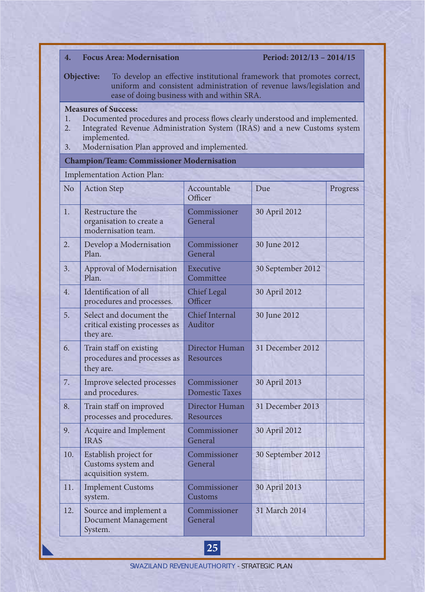| <b>Focus Area: Modernisation</b><br>Period: 2012/13 - 2014/15<br>$\overline{4}$ .<br>To develop an effective institutional framework that promotes correct,<br>Objective:<br>uniform and consistent administration of revenue laws/legislation and<br>ease of doing business with and within SRA. |                                                                                                                                                                                                                                                        |                                       |                   |          |  |  |
|---------------------------------------------------------------------------------------------------------------------------------------------------------------------------------------------------------------------------------------------------------------------------------------------------|--------------------------------------------------------------------------------------------------------------------------------------------------------------------------------------------------------------------------------------------------------|---------------------------------------|-------------------|----------|--|--|
| 1.<br>2.<br>3.                                                                                                                                                                                                                                                                                    | <b>Measures of Success:</b><br>Documented procedures and process flows clearly understood and implemented.<br>Integrated Revenue Administration System (IRAS) and a new Customs system<br>implemented.<br>Modernisation Plan approved and implemented. |                                       |                   |          |  |  |
|                                                                                                                                                                                                                                                                                                   | <b>Champion/Team: Commissioner Modernisation</b>                                                                                                                                                                                                       |                                       |                   |          |  |  |
|                                                                                                                                                                                                                                                                                                   | Implementation Action Plan:                                                                                                                                                                                                                            |                                       |                   |          |  |  |
| N <sub>o</sub>                                                                                                                                                                                                                                                                                    | <b>Action Step</b>                                                                                                                                                                                                                                     | Accountable<br>Officer                | Due               | Progress |  |  |
| 1.                                                                                                                                                                                                                                                                                                | Restructure the<br>organisation to create a<br>modernisation team.                                                                                                                                                                                     | Commissioner<br>General               | 30 April 2012     |          |  |  |
| 2.                                                                                                                                                                                                                                                                                                | Develop a Modernisation<br>Plan.                                                                                                                                                                                                                       | Commissioner<br>General               | 30 June 2012      |          |  |  |
| 3.                                                                                                                                                                                                                                                                                                | Approval of Modernisation<br>Plan.                                                                                                                                                                                                                     | Executive<br>Committee                | 30 September 2012 |          |  |  |
| 4.                                                                                                                                                                                                                                                                                                | Identification of all<br>procedures and processes.                                                                                                                                                                                                     | <b>Chief</b> Legal<br>Officer         | 30 April 2012     |          |  |  |
| 5.                                                                                                                                                                                                                                                                                                | Select and document the<br>critical existing processes as<br>they are.                                                                                                                                                                                 | Chief Internal<br>Auditor             | 30 June 2012      |          |  |  |
| 6.                                                                                                                                                                                                                                                                                                | Train staff on existing<br>procedures and processes as<br>they are.                                                                                                                                                                                    | Director Human<br>Resources           | 31 December 2012  |          |  |  |
| 7.                                                                                                                                                                                                                                                                                                | Improve selected processes<br>and procedures.                                                                                                                                                                                                          | Commissioner<br><b>Domestic Taxes</b> | 30 April 2013     |          |  |  |
| 8.                                                                                                                                                                                                                                                                                                | Train staff on improved<br>processes and procedures.                                                                                                                                                                                                   | Director Human<br>Resources           | 31 December 2013  |          |  |  |
| 9.                                                                                                                                                                                                                                                                                                | Acquire and Implement<br><b>IRAS</b>                                                                                                                                                                                                                   | Commissioner<br>General               | 30 April 2012     |          |  |  |
| 10.                                                                                                                                                                                                                                                                                               | Establish project for<br>Customs system and<br>acquisition system.                                                                                                                                                                                     | Commissioner<br>General               | 30 September 2012 |          |  |  |
| 11.                                                                                                                                                                                                                                                                                               | <b>Implement Customs</b><br>system.                                                                                                                                                                                                                    | Commissioner<br>Customs               | 30 April 2013     |          |  |  |
| 12.                                                                                                                                                                                                                                                                                               | Source and implement a<br>Document Management<br>System.                                                                                                                                                                                               | Commissioner<br>General               | 31 March 2014     |          |  |  |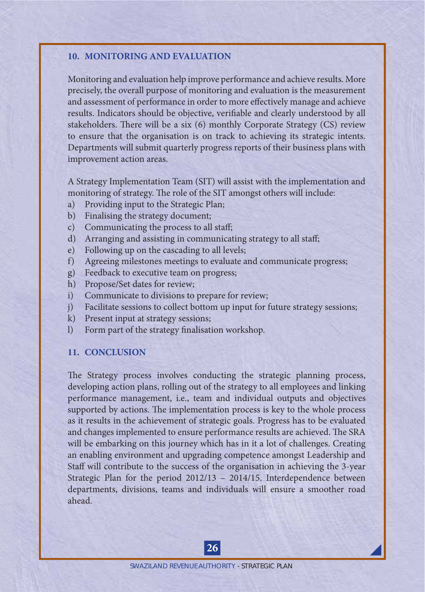#### **10. MONITORING AND EVALUATION**

Monitoring and evaluation help improve performance and achieve results. More precisely, the overall purpose of monitoring and evaluation is the measurement and assessment of performance in order to more effectively manage and achieve results. Indicators should be objective, verifiable and clearly understood by all stakeholders. There will be a six (6) monthly Corporate Strategy (CS) review to ensure that the organisation is on track to achieving its strategic intents. Departments will submit quarterly progress reports of their business plans with improvement action areas.

A Strategy Implementation Team (SIT) will assist with the implementation and monitoring of strategy. The role of the SIT amongst others will include:

- a) Providing input to the Strategic Plan;
- b) Finalising the strategy document;
- c) Communicating the process to all staff;
- d) Arranging and assisting in communicating strategy to all staff;
- e) Following up on the cascading to all levels;
- f) Agreeing milestones meetings to evaluate and communicate progress;
- g) Feedback to executive team on progress;
- h) Propose/Set dates for review;
- i) Communicate to divisions to prepare for review;
- j) Facilitate sessions to collect bottom up input for future strategy sessions;
- k) Present input at strategy sessions;
- l) Form part of the strategy finalisation workshop.

#### **11. CONCLUSION**

The Strategy process involves conducting the strategic planning process, developing action plans, rolling out of the strategy to all employees and linking performance management, i.e., team and individual outputs and objectives supported by actions. The implementation process is key to the whole process as it results in the achievement of strategic goals. Progress has to be evaluated and changes implemented to ensure performance results are achieved. The SRA will be embarking on this journey which has in it a lot of challenges. Creating an enabling environment and upgrading competence amongst Leadership and Staff will contribute to the success of the organisation in achieving the 3-year Strategic Plan for the period 2012/13 – 2014/15. Interdependence between departments, divisions, teams and individuals will ensure a smoother road ahead.